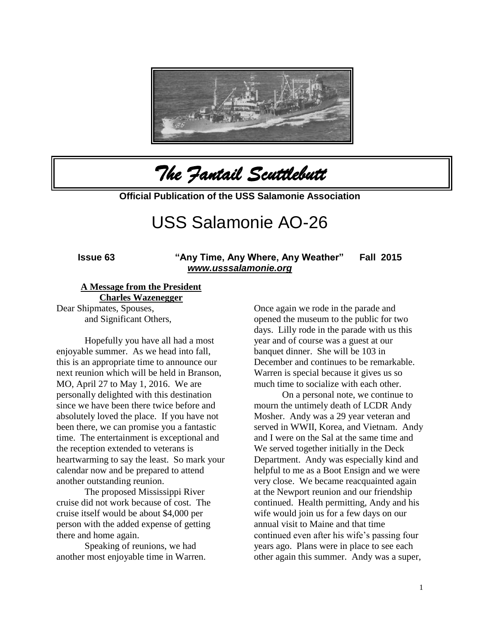

*The Fantail Scuttlebutt* 

**Official Publication of the USS Salamonie Association**

# USS Salamonie AO-26

**Issue 63 "Any Time, Any Where, Any Weather" Fall 2015**  *[www.usssalamonie.org](http://www.usssalamonie.org/)*

#### **A Message from the President**

**Charles Wazenegger**

Dear Shipmates, Spouses, and Significant Others,

Hopefully you have all had a most enjoyable summer. As we head into fall, this is an appropriate time to announce our next reunion which will be held in Branson, MO, April 27 to May 1, 2016. We are personally delighted with this destination since we have been there twice before and absolutely loved the place. If you have not been there, we can promise you a fantastic time. The entertainment is exceptional and the reception extended to veterans is heartwarming to say the least. So mark your calendar now and be prepared to attend another outstanding reunion.

The proposed Mississippi River cruise did not work because of cost. The cruise itself would be about \$4,000 per person with the added expense of getting there and home again.

Speaking of reunions, we had another most enjoyable time in Warren. Once again we rode in the parade and opened the museum to the public for two days. Lilly rode in the parade with us this year and of course was a guest at our banquet dinner. She will be 103 in December and continues to be remarkable. Warren is special because it gives us so much time to socialize with each other.

On a personal note, we continue to mourn the untimely death of LCDR Andy Mosher. Andy was a 29 year veteran and served in WWII, Korea, and Vietnam. Andy and I were on the Sal at the same time and We served together initially in the Deck Department. Andy was especially kind and helpful to me as a Boot Ensign and we were very close. We became reacquainted again at the Newport reunion and our friendship continued. Health permitting, Andy and his wife would join us for a few days on our annual visit to Maine and that time continued even after his wife's passing four years ago. Plans were in place to see each other again this summer. Andy was a super,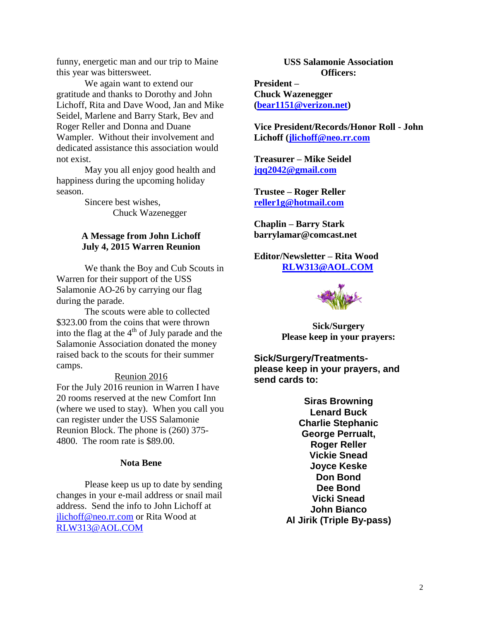funny, energetic man and our trip to Maine this year was bittersweet.

We again want to extend our gratitude and thanks to Dorothy and John Lichoff, Rita and Dave Wood, Jan and Mike Seidel, Marlene and Barry Stark, Bev and Roger Reller and Donna and Duane Wampler. Without their involvement and dedicated assistance this association would not exist.

May you all enjoy good health and happiness during the upcoming holiday season.

> Sincere best wishes, Chuck Wazenegger

# **A Message from John Lichoff July 4, 2015 Warren Reunion**

We thank the Boy and Cub Scouts in Warren for their support of the USS Salamonie AO-26 by carrying our flag during the parade.

The scouts were able to collected \$323.00 from the coins that were thrown into the flag at the  $4<sup>th</sup>$  of July parade and the Salamonie Association donated the money raised back to the scouts for their summer camps.

#### Reunion 2016

For the July 2016 reunion in Warren I have 20 rooms reserved at the new Comfort Inn (where we used to stay). When you call you can register under the USS Salamonie Reunion Block. The phone is (260) 375- 4800. The room rate is \$89.00.

#### **Nota Bene**

Please keep us up to date by sending changes in your e-mail address or snail mail address. Send the info to John Lichoff at [jlichoff@neo.rr.com](mailto:jlichoff@neo.rr.com) or Rita Wood at [RLW313@AOL.COM](mailto:RLW313@AOL.COM)

**USS Salamonie Association Officers: President –**

**Chuck Wazenegger [\(bear1151@verizon.net\)](mailto:bear1151@verizon.net)**

**Vice President/Records/Honor Roll - John Lichoff [\(jlichoff@neo.rr.com](mailto:jlichoff@neo.rr.com)**

**Treasurer – Mike Seidel [jqq2042@gmail.com](mailto:jqq2042@gmail.com)**

**Trustee – Roger Reller [reller1g@hotmail.com](mailto:reller1g@hotmail.com)**

**Chaplin – Barry Stark barrylamar@comcast.net**

**Editor/Newsletter – Rita Wood [RLW313@AOL.COM](mailto:RLW313@AOL.COM)**



**Sick/Surgery Please keep in your prayers:**

**Sick/Surgery/Treatmentsplease keep in your prayers, and send cards to:**

> **Siras Browning Lenard Buck Charlie Stephanic George Perrualt, Roger Reller Vickie Snead Joyce Keske Don Bond Dee Bond Vicki Snead John Bianco Al Jirik (Triple By-pass)**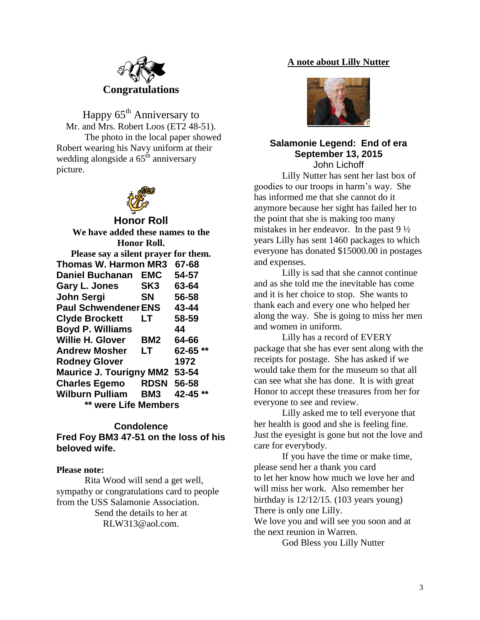

Happy  $65<sup>th</sup>$  Anniversary to Mr. and Mrs. Robert Loos (ET2 48-51). The photo in the local paper showed Robert wearing his Navy uniform at their wedding alongside a  $65<sup>th</sup>$  anniversary picture.



# **Honor Roll**

| We have added these names to the     |                 |          |
|--------------------------------------|-----------------|----------|
| <b>Honor Roll.</b>                   |                 |          |
| Please say a silent prayer for them. |                 |          |
| <b>Thomas W. Harmon MR3</b>          |                 | 67-68    |
| <b>Daniel Buchanan</b>               | EMC             | 54-57    |
| <b>Gary L. Jones</b>                 | SK <sub>3</sub> | 63-64    |
| John Sergi                           | <b>SN</b>       | 56-58    |
| <b>Paul Schwendener ENS</b>          |                 | 43-44    |
| <b>Clyde Brockett</b>                | LТ              | 58-59    |
| <b>Boyd P. Williams</b>              |                 | 44       |
| <b>Willie H. Glover</b>              | BM2             | 64-66    |
| <b>Andrew Mosher</b>                 | LT              | 62-65 ** |
| <b>Rodney Glover</b>                 |                 | 1972     |
| <b>Maurice J. Tourigny MM2</b>       |                 | 53-54    |
| <b>Charles Egemo</b>                 | <b>RDSN</b>     | 56-58    |
| <b>Wilburn Pulliam</b>               | BM3             | 42-45 ** |
| were Life Members                    |                 |          |
|                                      |                 |          |

## **Condolence**

**Fred Foy BM3 47-51 on the loss of his beloved wife.**

#### **Please note:**

Rita Wood will send a get well, sympathy or congratulations card to people from the USS Salamonie Association. Send the details to her at

RLW313@aol.com.

# **A note about Lilly Nutter**



#### **Salamonie Legend: End of era September 13, 2015** John Lichoff

Lilly Nutter has sent her last box of goodies to our troops in harm's way. She has informed me that she cannot do it anymore because her sight has failed her to the point that she is making too many mistakes in her endeavor. In the past 9 ½ years Lilly has sent 1460 packages to which everyone has donated \$15000.00 in postages and expenses.

Lilly is sad that she cannot continue and as she told me the inevitable has come and it is her choice to stop. She wants to thank each and every one who helped her along the way. She is going to miss her men and women in uniform.

Lilly has a record of EVERY package that she has ever sent along with the receipts for postage. She has asked if we would take them for the museum so that all can see what she has done. It is with great Honor to accept these treasures from her for everyone to see and review.

Lilly asked me to tell everyone that her health is good and she is feeling fine. Just the eyesight is gone but not the love and care for everybody.

If you have the time or make time, please send her a thank you card to let her know how much we love her and will miss her work. Also remember her birthday is 12/12/15. (103 years young) There is only one Lilly.

We love you and will see you soon and at the next reunion in Warren.

God Bless you Lilly Nutter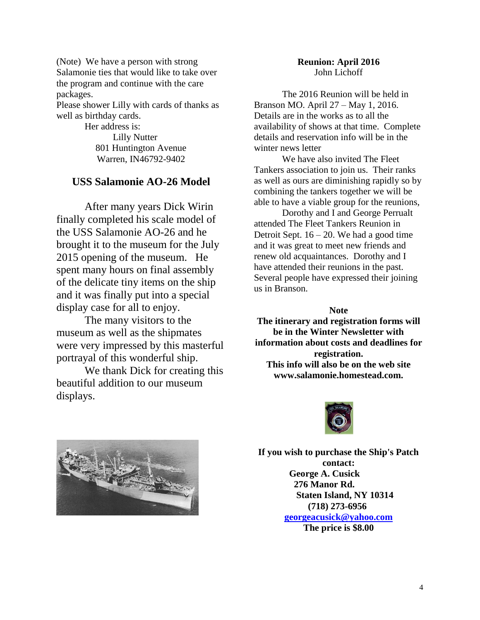(Note) We have a person with strong Salamonie ties that would like to take over the program and continue with the care packages.

Please shower Lilly with cards of thanks as well as birthday cards.

> Her address is: Lilly Nutter 801 Huntington Avenue Warren, IN46792-9402

# **USS Salamonie AO-26 Model**

After many years Dick Wirin finally completed his scale model of the USS Salamonie AO-26 and he brought it to the museum for the July 2015 opening of the museum. He spent many hours on final assembly of the delicate tiny items on the ship and it was finally put into a special display case for all to enjoy.

The many visitors to the museum as well as the shipmates were very impressed by this masterful portrayal of this wonderful ship.

We thank Dick for creating this beautiful addition to our museum displays.

# **Reunion: April 2016** John Lichoff

The 2016 Reunion will be held in Branson MO. April 27 – May 1, 2016. Details are in the works as to all the availability of shows at that time. Complete details and reservation info will be in the winter news letter

We have also invited The Fleet Tankers association to join us. Their ranks as well as ours are diminishing rapidly so by combining the tankers together we will be able to have a viable group for the reunions,

Dorothy and I and George Perrualt attended The Fleet Tankers Reunion in Detroit Sept.  $16 - 20$ . We had a good time and it was great to meet new friends and renew old acquaintances. Dorothy and I have attended their reunions in the past. Several people have expressed their joining us in Branson.

**Note**

**The itinerary and registration forms will be in the Winter Newsletter with information about costs and deadlines for registration. This info will also be on the web site www.salamonie.homestead.com.**





**If you wish to purchase the Ship's Patch contact: George A. Cusick 276 Manor Rd. Staten Island, NY 10314 (718) 273-6956 [georgeacusick@yahoo.com](mailto:georgeacusick@yahoo.com) The price is \$8.00**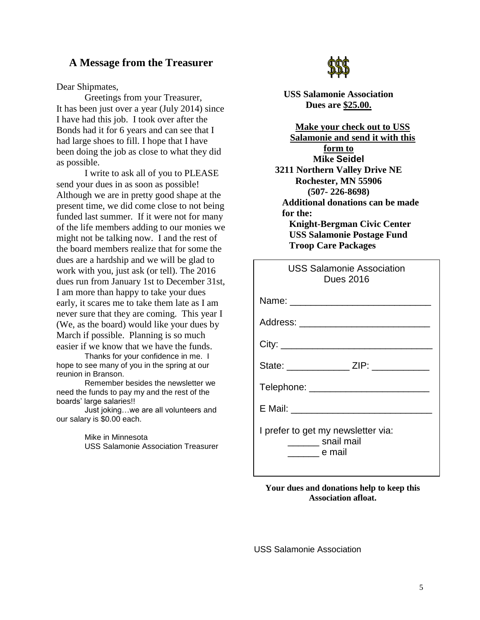# **A Message from the Treasurer**

Dear Shipmates,

Greetings from your Treasurer, It has been just over a year (July 2014) since I have had this job. I took over after the Bonds had it for 6 years and can see that I had large shoes to fill. I hope that I have been doing the job as close to what they did as possible.

I write to ask all of you to PLEASE send your dues in as soon as possible! Although we are in pretty good shape at the present time, we did come close to not being funded last summer. If it were not for many of the life members adding to our monies we might not be talking now. I and the rest of the board members realize that for some the dues are a hardship and we will be glad to work with you, just ask (or tell). The 2016 dues run from January 1st to December 31st, I am more than happy to take your dues early, it scares me to take them late as I am never sure that they are coming. This year I (We, as the board) would like your dues by March if possible. Planning is so much easier if we know that we have the funds.

Thanks for your confidence in me. I hope to see many of you in the spring at our reunion in Branson.

Remember besides the newsletter we need the funds to pay my and the rest of the boards' large salaries!!

Just joking…we are all volunteers and our salary is \$0.00 each.

> Mike in Minnesota USS Salamonie Association Treasurer



**USS Salamonie Association Dues are \$25.00.**

**Make your check out to USS Salamonie and send it with this form to Mike Seidel 3211 Northern Valley Drive NE Rochester, MN 55906 (507- 226-8698) Additional donations can be made for the: Knight-Bergman Civic Center USS Salamonie Postage Fund Troop Care Packages**

| <b>USS Salamonie Association</b><br><b>Dues 2016</b>                                 |
|--------------------------------------------------------------------------------------|
|                                                                                      |
| Address: ____________________________                                                |
|                                                                                      |
| State: ________________ ZIP: ____________                                            |
| Telephone: __________________________                                                |
|                                                                                      |
| I prefer to get my newsletter via:<br>________ snail mail<br><u>_________</u> e mail |

**Your dues and donations help to keep this Association afloat.**

USS Salamonie Association